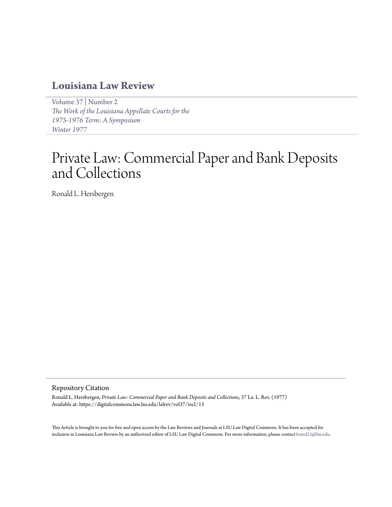# **[Louisiana Law Review](https://digitalcommons.law.lsu.edu/lalrev)**

[Volume 37](https://digitalcommons.law.lsu.edu/lalrev/vol37) | [Number 2](https://digitalcommons.law.lsu.edu/lalrev/vol37/iss2) *[The Work of the Louisiana Appellate Courts for the](https://digitalcommons.law.lsu.edu/lalrev/vol37/iss2) [1975-1976 Term: A Symposium](https://digitalcommons.law.lsu.edu/lalrev/vol37/iss2) [Winter 1977](https://digitalcommons.law.lsu.edu/lalrev/vol37/iss2)*

# Private Law: Commercial Paper and Bank Deposits and Collections

Ronald L. Hersbergen

# Repository Citation

Ronald L. Hersbergen, *Private Law: Commercial Paper and Bank Deposits and Collections*, 37 La. L. Rev. (1977) Available at: https://digitalcommons.law.lsu.edu/lalrev/vol37/iss2/13

This Article is brought to you for free and open access by the Law Reviews and Journals at LSU Law Digital Commons. It has been accepted for inclusion in Louisiana Law Review by an authorized editor of LSU Law Digital Commons. For more information, please contact [kreed25@lsu.edu](mailto:kreed25@lsu.edu).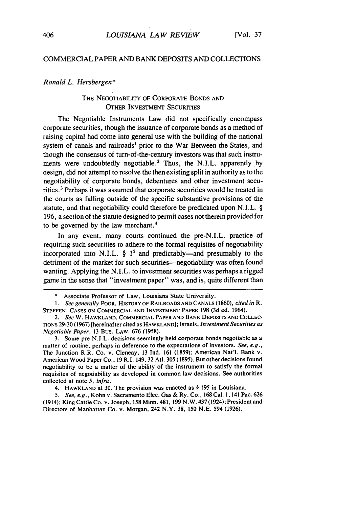# COMMERCIAL PAPER **AND** BANK DEPOSITS **AND** COLLECTIONS

### *Ronald L. Hersbergen\**

# THE NEGOTIABILITY OF CORPORATE BONDS AND OTHER INVESTMENT SECURITIES

The Negotiable Instruments Law did not specifically encompass corporate securities, though the issuance of corporate bonds as a method of raising capital had come into general use with the building of the national system of canals and railroads' prior to the War Between the States, and though the consensus of turn-of-the-century investors was that such instruments were undoubtedly negotiable.<sup>2</sup> Thus, the N.I.L. apparently by design, did not attempt to resolve the then existing split in authority as to the negotiability of corporate bonds, debentures and other investment securities. 3 Perhaps it was assumed that corporate securities would be treated in the courts as falling outside of the specific substantive provisions of the statute, and that negotiability could therefore be predicated upon N.I.L. § 196, a section of the statute designed to permit cases not therein provided for to be governed by the law merchant. <sup>4</sup>

In any event, many courts continued the pre-N.I.L. practice of requiring such securities to adhere to the formal requisites of negotiability incorporated into N.I.L.  $\S$  1<sup>5</sup> and predictably—and presumably to the detriment of the market for such securities-negotiability was often found wanting. Applying the N.I.L. to investment securities was perhaps a rigged game in the sense that "investment paper" was, and is, quite different than

3. Some pre-N.I.L. decisions seemingly held corporate bonds negotiable as a matter of routine, perhaps in deference to the expectations of investors. *See,* e.g., The Junction R.R. Co. v. Cleneay, 13 Ind. 161 (1859); American Nat'l. Bank v. American Wood Paper Co., 19 R.I. 149,32 Atd. 305 (1895). But other decisions found negotiability to be a matter of the ability of the instrument to satisfy the formal requisites of negotiability as developed in common law decisions. See authorities collected at note 5, *infra.*

4. HAWKLAND at 30. The provision was enacted as § 195 in Louisiana.

*5. See, e.g.,* Kohn v. Sacramento Elec. Gas & Ry. Co., **168** Cal. 1, 141 Pac. 626 (1914); King Cattle Co. v. Joseph, 158 Minn. 481, 199 N.W. 437 (1924); President and Directors of Manhattan Co. v. Morgan, 242 N.Y. 38, 150 N.E. 594 (1926).

<sup>\*</sup> Associate Professor of Law, Louisiana State University.

*<sup>1.</sup>* See generally POOR, HISTORY OF RAILROADS **AND CANALS** (1860), *cited in R.* **STEFFEN, CASES ON** COMMERCIAL **AND INVESTMENT** PAPER 198 (3d ed. 1964).

*<sup>2.</sup>* See W. HAWKLAND, COMMERCIAL PAPER **AND** BANK DEPOSITS **AND COLLEC-**TIONS 29-30 (1967) [hereinafter cited as HAWKLAND]; Israels, *Investment Securities as* Negotiable *Paper,* 13 Bus. LAW. 676 (1958).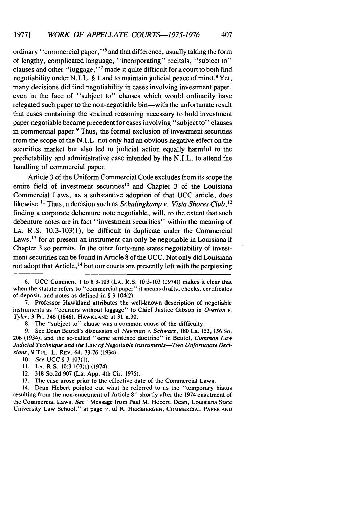ordinary "commercial paper," **6** and that difference, usually taking the form of lengthy, complicated language, "incorporating" recitals, "subject to" clauses and other "luggage,"<sup>7</sup> made it quite difficult for a court to both find negotiability under N.I.L.  $\S$  1 and to maintain judicial peace of mind.<sup>8</sup> Yet, many decisions did find negotiability in cases involving investment paper, even in the face of "subject to" clauses which would ordinarily have relegated such paper to the non-negotiable bin-with the unfortunate result that cases containing the strained reasoning necessary to hold investment paper negotiable became precedent for cases involving "subject to" clauses in commercial paper.9 Thus, the formal exclusion of investment securities from the scope of the N.I.L. not only had an obvious negative effect on the securities market but also led to judicial action equally harmful to the predictability and administrative ease intended by the N.I.L. to attend the handling of commercial paper.

Article 3 of the Uniform Commercial Code excludes from its scope the entire field of investment securities<sup>10</sup> and Chapter 3 of the Louisiana Commercial Laws, as a substantive adoption of that UCC article, does likewise.<sup>11</sup> Thus, a decision such as *Schulingkamp v. Vista Shores Club*,<sup>12</sup> finding a corporate debenture note negotiable, will, to the extent that such debenture notes are in fact "investment securities" within the meaning of LA. R.S. 10:3-103(1), be difficult to duplicate under the Commercial Laws,  $^{13}$  for at present an instrument can only be negotiable in Louisiana if Chapter 3 so permits. In the other forty-nine states negotiability of investment securities can be found in Article 8 of the UCC. Not only did Louisiana not adopt that Article,<sup>14</sup> but our courts are presently left with the perplexing

6. UCC Comment I to § 3-103 (LA. R.S. 10:3-103 (1974)) makes it clear that when the statute refers to "commercial paper" it means drafts, checks, certificates of deposit, and notes as defined in § 3-104(2).

7. Professor Hawkland attributes the well-known description of negotiable instruments as "couriers without luggage" to Chief Justice Gibson in *Overton v.* Tyler, 3 Pa. 346 (1846). HAWKLAND at 31 n.30.

8. The "subject to" clause was a common cause of the difficulty.

9. See Dean Beutel's discussion of *Newman v. Schwarz,* 180 La. 153, 156 So. 206 (1934), and the so-called "same sentence doctrine" in Beutel, *Common Law* Judicial *Technique and the Law of Negotiable Instruments-Two Unfortunate Decisions,* 9 TUL. L. REV. 64, 73-76 (1934).

10. See UCC § 3-103(1).

**11.** LA. R.S. 10:3-103(1) (1974).

12. 318 So.2d 907 (La. App. 4th Cir. 1975).

13. The case arose prior to the effective date of the Commercial Laws.

14. Dean Hebert pointed out what he referred to as the "temporary hiatus resulting from the non-enactment of Article **8"** shortly after the 1974 enactment of the Commercial Laws. *See* "Message from Paul M. Hebert, Dean, Louisiana State University Law School," at page *v.* of R. HERSBERGEN, COMMERCIAL PAPER **AND**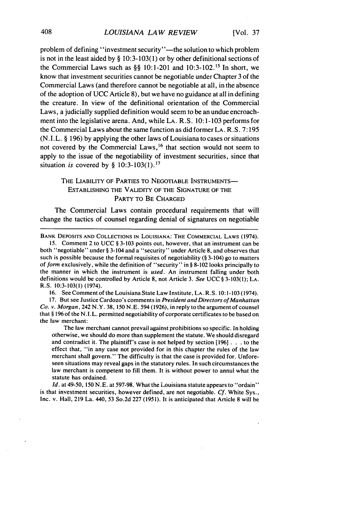problem of defining "investment security"—the solution to which problem is not in the least aided by  $\S$  10:3-103(1) or by other definitional sections of the Commercial Laws such as  $\S\S$  10:1-201 and 10:3-102.<sup>15</sup> In short, we know that investment securities cannot be negotiable under Chapter 3 of the Commercial Laws (and therefore cannot be negotiable at all, in the absence of the adoption of UCC Article 8), but we have no guidance at all in defining the creature. In view of the definitional orientation of the Commercial Laws, a judicially supplied definition would seem to be an undue encroachment into the legislative arena. And, while LA. R.S. 10:1-103 performs for the Commercial Laws about the same function as did former LA. R. S. 7:195 (N.I.L. § 196) by applying the other laws of Louisiana to cases or situations not covered by the Commercial Laws, 16 that section would not seem to apply to the issue of the negotiability of investment securities, since that situation *is* covered by § 10:3-103(1). <sup>1</sup>

# THE LIABILITY OF PARTIES TO NEGOTIABLE INSTRUMENTS-ESTABLISHING THE VALIDITY OF THE SIGNATURE OF THE PARTY TO BE CHARGED

The Commercial Laws contain procedural requirements that will change the tactics of counsel regarding denial of signatures on negotiable

BANK DEPOSITS **AND** COLLECTIONS IN LOUISIANA: THE COMMERCIAL LAWS (1974).

15. Comment 2 to UCC § 3-103 points out, however, that an instrument can be both "negotiable" under § 3-104 and a "security" under Article 8, and observes that such is possible because the formal requisites of negotiability **(§** 3-104) go to matters of *form* exclusively, while the definition of "security" in § 8-102 looks principally to the manner in which the instrument is *used.* An instrument falling under both definitions would be controlled by Article 8, not Article 3. *See* UCC § 3-103(1); LA. R.S. 10:3-103(l) (1974).

**16.** See Comment of the Louisiana State Law Institute, LA. R.S. 10:1-103 (1974).

17. But see Justice Cardozo's comments in *President and Directors of Manhattan Co.* v. *Morgan,* 242 N.Y. 38, **150** N.E. 594 (1926), in reply to the argument of counsel that § **196** of the N.I.L. permitted negotiability of corporate certificates to be based on the law merchant:

The law merchant cannot prevail against prohibitions so specific. In holding otherwise, we should do more than supplement the statute. We should disregard and contradict it. The plaintiff's case is not helped by section **[196] . .** .to the effect that, "in any case not provided for in this chapter the rules of the law merchant shall govern." The difficulty is that the case is provided for. Unforeseen situations may reveal gaps in the statutory rules. In such circumstances the law merchant is competent to fill them. It is without power to annul what the statute has ordained.

*Id.* at 49-50, **150** N.E. at 597-98. What the Louisiana statute appears to "ordain" is that investment securities, however defined, are not negotiable. *Cf.* White Sys., Inc. v. Hall, **219** La. 440, 53 So.2d 227 (1951). It is anticipated that Article 8 will be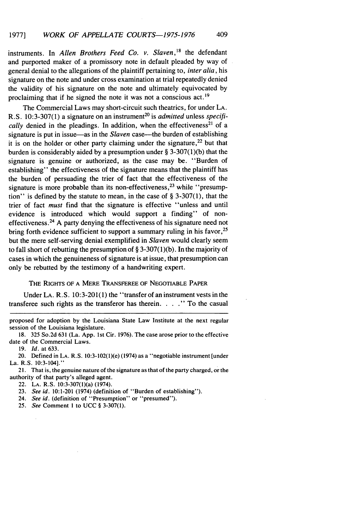instruments. In *Allen Brothers Feed Co. v. Slaven*,<sup>18</sup> the defendant and purported maker of a promissory note in default pleaded by way of general denial to the allegations of the plaintiff pertaining to, *inter alia,* his signature on the note and under cross examination at trial repeatedly denied the validity of his signature on the note and ultimately equivocated by proclaiming that if he signed the note it was not a conscious act.<sup>19</sup>

The Commercial Laws may short-circuit such theatrics, for under LA. R.S. 10:3-307(1) a signature on an instrument<sup>20</sup> is *admitted* unless *specifically* denied in the pleadings. In addition, when the effectiveness<sup>21</sup> of a signature is put in issue—as in the *Slaven* case—the burden of establishing it is on the holder or other party claiming under the signature,  $22$  but that burden is considerably aided by a presumption under § 3-307(1)(b) that the signature is genuine or authorized, as the case may be. "Burden of establishing" the effectiveness of the signature means that the plaintiff has the burden of persuading the trier of fact that the effectiveness of the signature is more probable than its non-effectiveness,<sup>23</sup> while "presumption" is defined by the statute to mean, in the case of  $\S$  3-307(1), that the trier of fact *must* find that the signature is effective "unless and until evidence is introduced which would support a finding" of noneffectiveness.24 A party denying the effectiveness of his signature need not bring forth evidence sufficient to support a summary ruling in his favor,<sup>25</sup> but the mere self-serving denial exemplified in *Slaven* would clearly seem to fall short of rebutting the presumption of  $\S 3-307(1)(b)$ . In the majority of cases in which the genuineness of signature is at issue, that presumption can only be rebutted by the testimony of a handwriting expert.

## THE RIGHTS OF A MERE TRANSFEREE OF NEGOTIABLE PAPER

Under LA. R.S. 10:3-201(1) the "transfer of an instrument vests in the transferee such rights as the transferor has therein. . . . " To the casual

proposed for adoption by the Louisiana State Law Institute at the next regular session of the Louisiana legislature.

18. 325 So.2d 631 (La. App. 1st Cir. 1976). The case arose prior to the effective date of the Commercial Laws.

19. *Id.* at 633.

20. Defined in LA. R.S. 10:3-102(l)(e) (1974) as a "negotiable instrument [under La. R.S. 10:3-104]."

21. That is, the genuine nature of the signature as that of the party charged, or the authority of that party's alleged agent.

22. LA. R.S. 10:3-307(1)(a) (1974).

23. *See id.* 10:1-201 (1974) (definition of "Burden of establishing").

24. *See id.* (definition of "Presumption" or "presumed").

25. *See* Comment **I** to UCC § 3-307(1).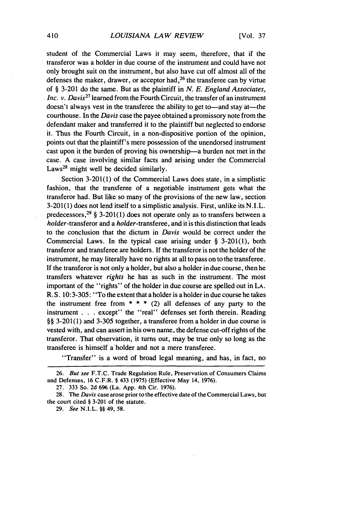student of the Commercial Laws it may seem, therefore, that if the transferor was a holder in due course of the instrument and could have not only brought suit on the instrument, but also have cut off almost all of the defenses the maker, drawer, or acceptor had,  $26$  the transferee can by virtue of § 3-201 do the same. But as the plaintiff in *N. E. England Associates, Inc. v. Davis*<sup>27</sup> learned from the Fourth Circuit, the transfer of an instrument doesn't always vest in the transferee the ability to get to—and stay at—the courthouse. In the *Davis* case the payee obtained a promissory note from the defendant maker and transferred it to the plaintiff but neglected to endorse it. Thus the Fourth Circuit, in a non-dispositive portion of the opinion, points out that the plaintiff's mere possession of the unendorsed instrument cast upon it the burden of proving his ownership-a burden not met in the case. A case involving similar facts and arising under the Commercial Laws<sup>28</sup> might well be decided similarly.

Section 3-201(1) of the Commercial Laws does state, in a simplistic fashion, that the transferee of a negotiable instrument gets what the transferor had. But like so many of the provisions of the new law, section 3-201(1) does not lend itself to a simplistic analysis. First, unlike its N.I.L. predecessors,<sup>29</sup> § 3-201(1) does not operate only as to transfers between a holder-transferor and a holder-transferee, and it is this distinction that leads to the conclusion that the dictum in *Davis* would be correct under the Commercial Laws. In the typical case arising under § 3-201(1), both transferor and transferee are holders. If the transferor is not the holder of the instrument, he may literally have no rights at all to pass on to the transferee. If the transferor is not only a holder, but also a holder in due course, then he transfers whatever *rights* he has as such in the instrument. The most important of the "rights" of the holder in due course are spelled out in LA. R. S. 10:3-305: "To the extent that a holder is a holder in due course he takes the instrument free from  $* * * (2)$  all defenses of any party to the instrument . . . except" the "real" defenses set forth therein. Reading §§ 3-201(1) and 3-305 together, a transferee from a holder in due course is vested with, and can assert in his own name, the defense cut-off rights of the transferor. That observation, it turns out, may be true only so long as the transferee is himself a holder and not a mere transferee.

"Transfer" is a word of broad legal meaning, and has, in fact, no

<sup>26.</sup> But see F.T.C. Trade Regulation Rule, Preservation of Consumers Claims and Defenses, 16 C.F.R. § 433 (1975) (Effective May 14, 1976).

<sup>27. 333</sup> So. 2d **696** (La. App. 4th Cir. 1976).

<sup>28.</sup> The *Davis* case arose prior to the effective date of the Commercial Laws, but the court cited § 3-201 of the statute.

<sup>29.</sup> *See* N.I.L. §§ 49, 58.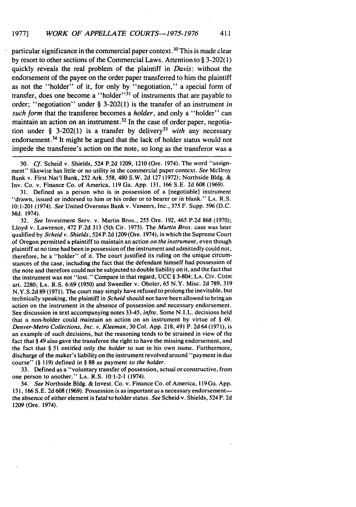particular significance in the commercial paper context. **10** This is made clear by resort to other sections of the Commercial Laws. Attention to § 3-202(1) quickly reveals the real problem of the plaintiff in *Davis:* without the endorsement of the payee on the order paper transferred to him the plaintiff as not the "holder" of it, for only by "negotiation," a special form of transfer, does one become a "holder"<sup>31</sup> of instruments that are payable to order; "negotiation" under § 3-202(1) is the transfer of an instrument *in such form* that the transferee becomes a *holder,* and only a "holder" can maintain an action on an instrument.<sup>32</sup> In the case of order paper, negotiation under § 3-202(1) is a transfer by delivery<sup>33</sup> with any necessary endorsement. 34 It might be argued that the lack of holder status would not impede the transferee's action on the note, so long as the transferor was a

30. *Cf.* Scheid v. Shields, 524 P.2d 1209, 1210 (Ore. 1974). The word "assignment" likewise has little or no utility in the commercial paper context. *See* Mcllroy Bank v. First Nat'l Bank, 252 Ark. 558, 480 S.W. 2d 127 (1972); Northside Bldg. & Inv. Co. v. Finance Co. of America, 119 Ga. App. 131, 166 S.E. 2d 608 (1969).

31. Defined as a person who is in possession of a [negotiable] instrument "drawn, issued or indorsed to him or his order or to bearer or in blank." LA. R.S. 10:1-201 (1974). See United Overseas Bank v. Veneers, Inc., 375 F. Supp. 596 (D.C. Md. 1974).

32. See Investment Serv. v. Martin Bros., 255 Ore. 192, 465 P.2d 868 (1970); Lloyd v. Lawrence, 472 F.2d 313 (5th Cir. 1973). The Martin Bros. case was later qualified by *Scheid* v. Shields, 524 P.2d 1209 (Ore. 1974), in which the Supreme Court of Oregon permitted a plaintiff to maintain an action on the instrument, even though plaintiff at no time had been in possession of the instrument and admittedly could not, therefore, be a "holder" of it. The court justified its ruling on the unique circumstances of the case, including the fact that the defendant himself had possession of the note and therefore could not be subjected to double liability on it, and the fact that the instrument was not "lost." Compare in that regard, UCC § 3-804; LA. Civ. CODE art. 2280; **LA.** R.S. 6:69 (1950) and Sweedler v. Oboler, 65 N.Y. Misc. 2d 789, 319 N.Y.S.2d 89 (1971). The court may simply have refused to prolong the inevitable, but technically speaking, the plaintiff in *Scheid* should not have been allowed to bring an action on the instrument in the absence of possession and necessary endorsement. See discussion in text accompanying notes 33-45, *infra.* Some N.I.L. decisions held that a non-holder could maintain an action on an instrument by virtue of § 49. *Denver-Metro Collections, Inc. v. Kleeman,* 30 Col. App. 218, 491 P. 2d 64 (1971), is an example of such decisions, but the reasoning tends to be strained in view of the fact that § 49 also gave the transferee the right to have the missing endorsement, and the fact that § 51 entitled only the *holder* to sue in his own name. Furthermore, discharge of the maker's liability on the instrument revolved around "payment in due course" (§ 119) defined in § 88 as payment *to the holder.*

33. Defined as a "voluntary transfer of possession, actual or constructive, from one person to another." LA. R.S. 10:1-2-1 (1974).

34. *See* Northside Bldg. & Invest. Co. v. Finance Co. of America, 119Ga. App. 131, 166 S.E. 2d 608 (1969). Possession is as important as a necessary endorsementthe absence of either element is fatal to holder status. *See* Scheid v. Shields, 524 P. 2d 1209 (Ore. 1974).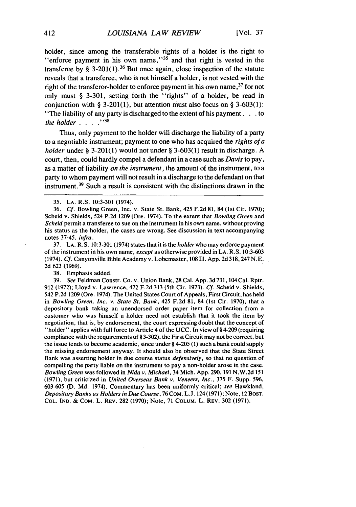holder, since among the transferable rights of a holder is the right to "enforce payment in his own name,"<sup>35</sup> and that right is vested in the transferee by § 3-201(1).<sup>36</sup> But once again, close inspection of the statute reveals that a transferee, who is not himself a holder, is not vested with the right of the transferor-holder to enforce payment in his own name,<sup>37</sup> for not only must § 3-301, setting forth the "rights" of a holder, be read in conjunction with § 3-201(1), but attention must also focus on § 3-603(1): "The liability of any party is discharged to the extent of his payment. **. .** to *the holder* . . . . . \*38

Thus, only payment to the holder will discharge the liability of a party to a negotiable instrument; payment to one who has acquired the *rights of a holder* under § 3-201(1) would not under § 3-603(1) result in discharge. A court, then, could hardly compel a defendant in a case such as *Davis* to pay, as a matter of liability *on the instrument,* the amount of the instrument, to a party to whom payment will not result in a discharge to the defendant on that instrument. 39 Such a result is consistent with the distinctions drawn in the

37. **LA.** R.S. 10:3-301 (1974) states that it is the holder who may enforce payment of the instrument in his own name, except as otherwise provided in LA. R.S. 10:3-603 (1974). Cf. Canyonville Bible Academy v. Lobemaster, 108 111. App. 2d 318,247 N.E. 2d 623 (1969).

38. Emphasis added.

39. See Feldman Constr. Co. v. Union Bank, 28 Cal. App. 3d 731,104 Cal. Rptr. 912 (1972); Lloyd v. Lawrence, 472 F.2d 313 (5th Cir. 1973). Cf. Scheid v. Shields, 542 P.2d 1209 (Ore. 1974). The United States Court of Appeals, First Circuit, has held in Bowling Green, Inc. v. State St. Bank, 425 F.2d 81, 84 (1st Cir. 1970), that a depository bank taking an unendorsed order paper item for collection from a customer who was himself a holder need not establish that it took the item by negotiation, that is, by endorsement, the court expressing doubt that the concept of "holder" applies with full force to Article 4 of the UCC. In view of§ 4-209 (requiring compliance with the requirements of § 3-302), the First Circuit may not be correct, but the issue tends to become academic, since under § 4-205 (1) such a bank could supply the missing endorsement anyway. It should also be observed that the State Street Bank was asserting holder in due course status defensively, so that no question of compelling the party liable on the instrument to pay a non-holder arose in the case. Bowling Green was followed in Nida v. Michael, 34 Mich. App. 290, 191 N.W.2d 151 (1971), but criticized in United Overseas Bank v. Veneers, Inc., 375 F. Supp. 596, 603-605 (D. Md. 1974). Commentary has been uniformly critical; see Hawkland, Depositary Banks as Holders in Due Course, 76 CoM. L.J. 124 (1971); Note, 12 BosT. COL. IND. & CoM. L. REV. **282 (1970);** Note, **71 COLUM.** L. REV. **302** (1971).

<sup>35.</sup> **LA.** R.S. **10:3-301** (1974).

<sup>36.</sup> **Cf.** Bowling Green, Inc. v. State St. Bank, 425 F.2d 81, 84 (1st Cir. 1970); Scheid v. Shields, 524 P.2d 1209 (Ore. 1974). To the extent that Bowling Green and Scheid permit a transferee to sue on the instrument in his own name, without proving his status as the holder, the cases are wrong. See discussion in text accompanying notes 37-45, infra.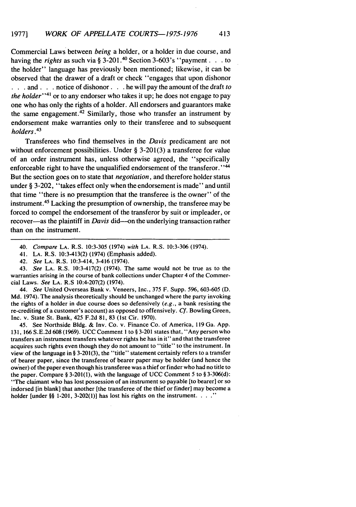Commercial Laws between *being* a holder, or a holder in due course, and having the *rights* as such via § 3-201.4° Section 3-603's "payment. **.** . to the holder" language has previously been mentioned; likewise, it can be observed that the drawer of a draft or check "engages that upon dishonor **• . .** and. **. .** notice of dishonor. **. .** he will pay the amount of the draft *to* the holder<sup> $141$ </sup> or to any endorser who takes it up; he does not engage to pay one who-has only the rights of a holder. All endorsers and guarantors make the same engagement.<sup>42</sup> Similarly, those who transfer an instrument by endorsement make warranties only to their transferee and to subsequent holders *.*

Transferees who find themselves in the *Davis* predicament are not without enforcement possibilities. Under § 3-201(3) a transferee for value of an order instrument has, unless otherwise agreed, the "specifically enforceable right to have the unqualified endorsement of the transferor."<sup>44</sup> But the section goes on to state that *negotiation,* and therefore holder status under § 3-202, "takes effect only when the endorsement is made" and until that time "there is no presumption that the transferee is the owner" of the instrument.45 Lacking the presumption of ownership, the transferee may be forced to compel the endorsement of the transferor by suit or impleader, or recover-as the plaintiff in *Davis* did--on the underlying transaction rather than on the instrument.

43. *See* LA. R.S. 10:3-417(2) (1974). The same would not be true as to the warranties arising in the course of bank collections under Chapter 4 of the Commercial Laws. *See* LA. R.S 10:4-207(2) (1974).

*44. See* United Overseas Bank v. Veneers, Inc., 375 F. Supp. 596, 603-605 (D. **Md.** 1974). The analysis theoretically should be unchanged where the party invoking the rights of a holder in due course does so defensively *(e.g.,* a bank resisting the re-crediting of a customer's account) as opposed to offensively. *Cf.* Bowling Green, Inc. v. State St. Bank, 425 F.2d 81, 83 (1st Cir. 1970).

45. See Northside Bldg. & Inv. Co. v. Finance Co. of America, 119 Ga. App. 131, 166 S.E.2d 608 (1969). UCC Comment **I** to § 3-201 states that, "Any person who transfers an instrument transfers whatever rights he has in it" and that the transferee acquires such rights even though they do not amount to "title" to the instrument. In view of the language in § 3-201(3), the "title" statement certainly refers to a transfer of bearer paper, since the transferee of bearer paper may be holder (and hence the owner) of the paper even though his transferee was a thief or finder who had no title to the paper. Compare § 3-201(1), with the language of UCC Comment 5 to § 3-306(d): "The claimant who has lost possession of an instrument so payable [to bearer] or so indorsed [in blank] that another [the transferee of the thief or finder] may become a holder [under  $\S$ § 1-201, 3-202(1)] has lost his rights on the instrument.  $\ldots$  "

<sup>40.</sup> *Compare* **LA.** R.S. 10:3-305 (1974) *with* LA. R.S. 10:3-306 (1974).

<sup>41.</sup> LA. R.S. 10:3-413(2) (1974) (Emphasis added).

<sup>42.</sup> *See* LA. R.S. 10:3-414, 3-416 (1974).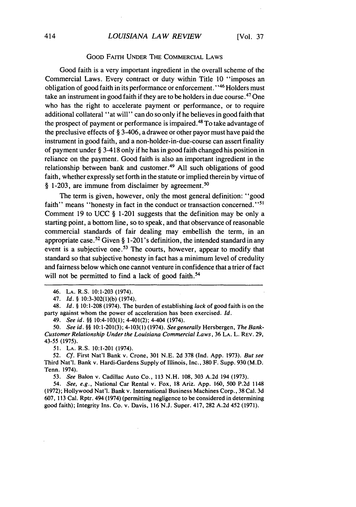#### GOOD FAITH UNDER THE COMMERCIAL LAWS

Good faith is a very important ingredient in the overall scheme of the Commercial Laws. Every contract or duty within Title 10 "imposes an obligation of good faith in its performance or enforcement."<sup>46</sup> Holders must take an instrument in good faith if they are to be holders in due course.<sup>47</sup> One who has the right to accelerate payment or performance, or to require additional collateral "at will" can do so only if he believes in good faith that the prospect of payment or performance is impaired.<sup>48</sup> To take advantage of the preclusive effects of § 3-406, a drawee or other payor must have paid the instrument in good faith, and a non-holder-in-due-course can assert finality of payment under § 3-418 only if he has in good faith changed his position in reliance on the payment. Good faith is also an important ingredient in the relationship between bank and customer.<sup>49</sup> All such obligations of good faith, whether expressly set forth in the statute or implied therein by virtue of § 1-203, are immune from disclaimer by agreement. <sup>50</sup>

The term is given, however, only the most general definition: "good faith" means "honesty in fact in the conduct or transaction concerned."<sup>51</sup> Comment 19 to UCC § 1-201 suggests that the definition may be only a starting point, a bottom line, so to speak, and that observance of reasonable commercial standards of fair dealing may embellish the term, in an appropriate case.<sup>52</sup> Given § 1-201's definition, the intended standard in any event is a subjective one.<sup>53</sup> The courts, however, appear to modify that standard so that subjective honesty in fact has a minimum level of credulity and fairness below which one cannot venture in confidence that a trier of fact will not be permitted to find a lack of good faith.<sup>54</sup>

47. Id. § 10:3-302(1)(b) (1974).

48. Id. *§* 10:1-208 (1974). The burden of establishing lack of good faith is on the party against whom the power of acceleration has been exercised. *Id.*

49. See id. *§§* 10:4-103(1); 4-401(2); 4-404 (1974).

50. See id. §§ 10:1-201(3); 4-103(1) (1974). *See* generally Hersbergen, *The* Bank-Customer Relationship Under the Louisiana Commercial Laws, **36 LA.** L. REV. **29,** 43-55 (1975).

51. LA. R.S. 10:1-201 (1974).

*52. Cf.* First Nat'l Bank v. Crone, 301 N.E. 2d 378 (Ind. App. 1973). But see Third Nat'l. Bank v. Hardi-Gardens Supply of Illinois, Inc., 380 F. Supp. 930 (M.D. Tenn. 1974).

53. *See* Balon v. Cadillac Auto Co., 113 N.H. 108, 303 A.2d 194 (1973).

54. *See, e.g.,* National Car Rental v. Fox, 18 Ariz. App. 160, 500 P.2d 1148 (1972); Hollywood Nat'l. Bank v. International Business Machines Corp., 38 Cal. 3d 607, 113 Cal. Rptr. 494 (1974) (permitting negligence to be considered in determining good faith); Integrity Ins. Co. v. Davis, 116 N.J. Super. 417, 282 A.2d 452 (1971).

<sup>46.</sup> LA. R.S. 10:1-203 (1974).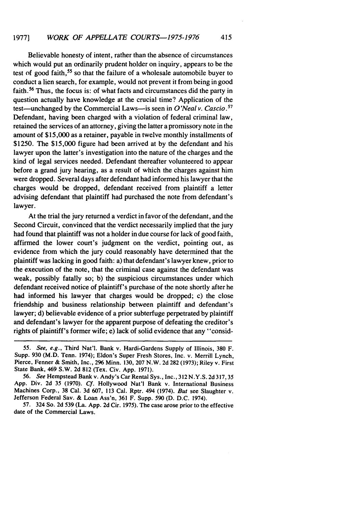Believable honesty of intent, rather than the absence of circumstances which would put an ordinarily prudent holder on inquiry, appears to be the test of good faith, 55 so that the failure of a wholesale automobile buyer to conduct a lien search, for example, would not prevent it from being in good faith.<sup>56</sup> Thus, the focus is: of what facts and circumstances did the party in question actually have knowledge at the crucial time? Application of the test-unchanged by the Commercial Laws-is seen in *O'Neal v. Cascio.*<sup>57</sup> Defendant, having been charged with a violation of federal criminal law, retained the services of an attorney, giving the latter a promissory note in the amount of \$15,000 as a retainer, payable in twelve monthly installments of \$1250. The \$15,000 figure had been arrived at by the defendant and his lawyer upon the latter's investigation into the nature of the charges and the kind of legal services needed. Defendant thereafter volunteered to appear before a grand jury hearing, as a result of which the charges against him were dropped. Several days after defendant had informed his lawyer that the charges would be dropped, defendant received from plaintiff a letter advising defendant that plaintiff had purchased the note from defendant's lawyer.

At the trial the jury returned a verdict in favor of the defendant, and the Second Circuit, convinced that the verdict necessarily implied that the jury had found that plaintiff was not a holder in due course for lack of good faith, affirmed the lower court's judgment on the verdict, pointing out, as evidence from which the jury could reasonably have determined that the plaintiff was lacking in good faith: a) that defendant's lawyer knew, prior to the execution of the note, that the criminal case against the defendant was weak, possibly fatally so; b) the suspicious circumstances under which defendant received notice of plaintiff's purchase of the note shortly after he had informed his lawyer that charges would be dropped; c) the close friendship and business relationship between plaintiff and defendant's lawyer; d) believable evidence of a prior subterfuge perpetrated by plaintiff and defendant's lawyer for the apparent purpose of defeating the creditor's rights of plaintiff's former wife; e) lack of solid evidence that any "consid-

57. 324 So. 2d 539 (La. App. 2d Cir. 1975). The case arose prior to the effective date of the Commercial Laws.

<sup>55.</sup> See, e.g., Third Nat'l. Bank v. Hardi-Gardens Supply of Illinois, 380 F. Supp. 930 (M.D. Tenn. 1974); Eldon's Super Fresh Stores, Inc. v. Merrill Lynch, Pierce, Fenner & Smith, Inc., **296** Minn. 130, 207 N.W. 2d 282 (1973); Riley v. First State Bank, 469 S.W. 2d 812 (Tex. Civ. App. 1971).

<sup>56.</sup> *See* Hempstead Bank v. Andy's Car Rental Sys., Inc., 312 N.Y.S. 2d 317, 35 App. Div. 2d 35 (1970). *Cf.* Hollywood Nat'l Bank v. International Business Machines Corp., 38 Cal. 3d 607, 113 Cal. Rptr. 494 (1974). *But* see Slaughter v. Jefferson Federal Say. & Loan Ass'n, 361 F. Supp. 590 (D. D.C. 1974).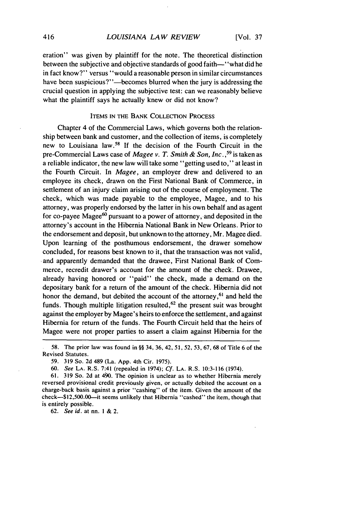eration" was given by plaintiff for the note. The theoretical distinction between the subjective and objective standards of good faith-' 'what did he in fact know?" versus "would a reasonable person in similar circumstances have been suspicious?"—becomes blurred when the jury is addressing the crucial question in applying the subjective test: can we reasonably believe what the plaintiff says he actually knew or did not know?

## ITEMS IN THE BANK COLLECTION PROCESS

Chapter 4 of the Commercial Laws, which governs both the relationship between bank and customer, and the collection of items, is completely new to Louisiana law.58 If the decision of the Fourth Circuit in the pre-Commercial Laws case of *Magee v. T. Smith & Son, Inc.*,<sup>59</sup> is taken as a reliable indicator, the new law will take some "getting used to," at least in the Fourth Circuit. In *Magee,* an employer drew and delivered to an employee its check, drawn on the First National Bank of Commerce, in settlement of an injury claim arising out of the course of employment. The check, which was made payable to the employee, Magee, and to his attorney, was properly endorsed by the latter in his own behalf and as agent for co-payee Magee<sup>60</sup> pursuant to a power of attorney, and deposited in the attorney's account in the Hibernia National Bank in New Orleans. Prior to the endorsement and deposit, but unknown to the attorney, Mr. Magee died. Upon learning of the posthumous endorsement, the drawer somehow concluded, for reasons best known to it, that the transaction was not valid, and apparently demanded that the drawee, First National Bank of Commerce, recredit drawer's account for the amount of the check. Drawee, already having honored or "paid" the check, made a demand on the depositary bank for a return of the amount of the check. Hibernia did not honor the demand, but debited the account of the attorney,<sup>61</sup> and held the funds. Though multiple litigation resulted,  $62$  the present suit was brought against the employer by Magee's heirs to enforce the settlement, and against Hibernia for return of the funds. The Fourth Circuit held that the heirs of Magee were not proper parties to assert a claim against Hibernia for the

61. 319 So. 2d at 40. The opinion is unclear as to whether Hibernia merely reversed provisional credit previously given, or actually debited the account on a charge-back basis against a prior "cashing" of the item. Given the amount of the check-\$12,500.00-it seems unlikely that Hibernia "cashed" the item, though that is entirely possible.

62. *See id.* at nn. **I &** 2.

<sup>58.</sup> The prior law was found in §§ 34, 36, 42, 51, 52, 53, **67,** 68 of Title 6 of the Revised Statutes.

<sup>59. 319</sup> So. 2d 489 (La. App. 4th Cir. 1975).

*<sup>60.</sup>* See LA. R.S. 7:41 (repealed in 1974); *Cf.* LA. R.S. 10:3-116 (1974).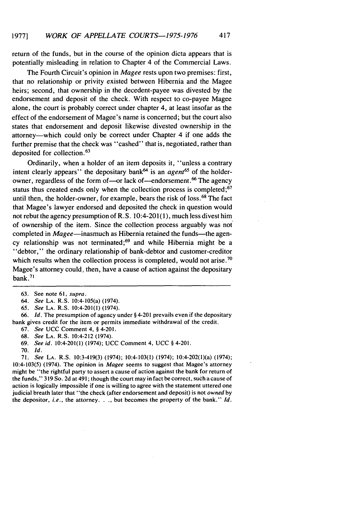return of the funds, but in the course of the opinion dicta appears that is potentially misleading in relation to Chapter 4 of the Commercial Laws.

The Fourth Circuit's opinion in *Magee* rests upon two premises: first, that no relationship or privity existed between Hibernia and the Magee heirs; second, that ownership in the decedent-payee was divested by the endorsement and deposit of the check. With respect to co-payee Magee alone, the court is probably correct under chapter 4, at least insofar as the effect of the endorsement of Magee's name is concerned; but the court also states that endorsement and deposit likewise divested ownership in the attorney—which could only be correct under Chapter 4 if one adds the further premise that the check was "cashed" that is, negotiated, rather than deposited for collection.<sup>63</sup>

Ordinarily, when a holder of an item deposits it, "unless a contrary intent clearly appears" the depositary bank<sup> $64$ </sup> is an *agent*<sup>65</sup> of the holderowner, regardless of the form of-or lack of-endorsement.<sup>66</sup> The agency status thus created ends only when the collection process is completed;<sup>67</sup> until then, the holder-owner, for example, bears the risk of loss. 68 The fact that Magee's lawyer endorsed and deposited the check in question would not rebut the agency presumption of R.S. 10:4-201(1), much less divest him of ownership of the item. Since the collection process arguably was not completed in Magee-inasmuch as Hibernia retained the funds-the agency relationship was not terminated;69 and while Hibernia might be a "debtor," the ordinary relationship of bank-debtor and customer-creditor which results when the collection process is completed, would not arise.<sup>70</sup> Magee's attorney could, then, have a cause of action against the depositary bank. $71$ 

65. *See* LA. R.S. 10:4-201(1) (1974).

66. *Id.* The presumption of agency under § 4-201 prevails even if the depositary bank gives credit for the item or permits immediate withdrawal of the credit.

67. *See* UCC Comment 4, § 4-201.

69. *See id.* 10:4-201(1) (1974); UCC Comment 4, UCC § 4-201.

70. *Id.*

71. *See* LA. R.S. 10:3-419(3) (1974); 10:4-103(1) (1974); 10:4-202(1)(a) (1974); 10:4-103(5) (1974). The opinion in *Magee* seems to suggest that Magee's attorney might be "the rightful party to assert a cause of action against the bank for return of the funds," 319 So. 2d at 491; though the court may in fact be correct, such a cause of action is logically impossible if one is willing to agree with the statement uttered one judicial breath later that "the check (after endorsement and deposit) is not *owned* by the depositor, *i.e.,* the attorney..., but becomes the property of the bank." *Id.*

**<sup>63.</sup>** See note 61, *supra.*

<sup>64.</sup> *See* LA. R.S. 10:4-105(a) (1974).

<sup>68.</sup> *See* LA. R.S. 10:4-212 (1974).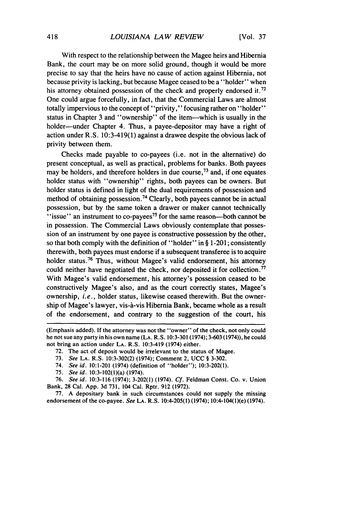With respect to the relationship between the Magee heirs and Hibernia Bank, the court may be on more solid ground, though it would be more precise to say that the heirs have no cause of action against Hibernia, not because privity is lacking, but because Magee ceased to be a "holder" when his attorney obtained possession of the check and properly endorsed it.<sup>72</sup> One could argue forcefully, in fact, that the Commercial Laws are almost totally impervious to the concept of "privity," focusing rather on "holder" status in Chapter 3 and "ownership" of the item-which is usually in the holder—under Chapter 4. Thus, a payee-depositor may have a right of action under R.S.  $10:3-419(1)$  against a drawee despite the obvious lack of privity between them.

Checks made payable to co-payees (i.e. not in the alternative) do present conceptual, as well as practical, problems for banks. Both payees may be holders, and therefore holders in due course,<sup>73</sup> and, if one equates holder status with "ownership" rights, both payees can be owners. But holder status is defined in light of the dual requirements of possession and method of obtaining possession. 74 Clearly, both payees cannot be in actual possession, but by the same token a drawer or maker cannot technically "issue" an instrument to co-payees<sup>75</sup> for the same reason—both cannot be in possession. The Commercial Laws obviously contemplate that possession of an instrument by one payee is constructive possession by the other, so that both comply with the definition of "holder" in § 1-201; consistently therewith, both payees must endorse if a subsequent transferee is to acquire holder status.<sup>76</sup> Thus, without Magee's valid endorsement, his attorney could neither have negotiated the check, nor deposited it for collection.<sup>77</sup> With Magee's valid endorsement, his attorney's possession ceased to be constructively Magee's also, and as the court correctly states, Magee's ownership, *i.e.,* holder status, likewise ceased therewith. But the ownership of Magee's lawyer, vis-à-vis Hibernia Bank, became whole as a result of the endorsement, and contrary to the suggestion of the court, his

<sup>(</sup>Emphasis added). If the attorney was not the "owner" of the check, not only could he not sue any party in his own name (LA. R.S. 10:3-301 (1974); 3-603 (1974)), he could not bring an action under LA. R.S. 10:3-419 (1974) either.

<sup>72.</sup> The act of deposit would be irrelevant to the status of Magee.

<sup>73.</sup> *See* LA. R.S. 10:3-302(2) (1974); Comment 2, UCC § 3-302.

<sup>74.</sup> *See* id. 10:1-201 (1974) (definition of "holder"); 10:3-202(1).

<sup>75.</sup> See id. 10:3-102(l)(a) (1974).

<sup>76.</sup> See id. 10:3-116 (1974); 3-202(1) (1974). *Cf.* Feldman Const. Co. v. Union Bank, 28 Cal. App. 3d 731, 104 Cal. Rptr. 912 (1972).

<sup>77.</sup> A depositary bank in such circumstances could not supply the missing endorsement of the co-payee. *See* LA. R.S. 10:4-205(l) (1974); 10:4-104(1)(e) (1974).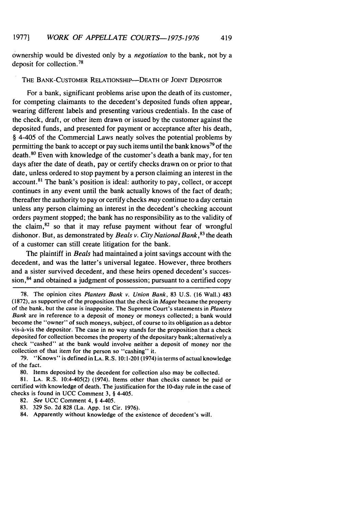ownership would be divested only by a *negotiation* to the bank, not by a deposit for collection. <sup>78</sup>

#### THE BANK-CUSTOMER RELATIONSHIP--DEATH OF JOINT DEPOSITOR

For a bank, significant problems arise upon the death of its customer, for competing claimants to the decedent's deposited funds often appear, wearing different labels and presenting various credentials. In the case of the check, draft, or other item drawn or issued by the customer against the deposited funds, and presented for payment or acceptance after his death, § 4-405 of the Commercial Laws neatly solves the potential problems by permitting the bank to accept or pay such items until the bank knows79 of the death. 80 Even with knowledge of the customer's death a bank may, for ten days after the date of death, pay or certify checks drawn on or prior to that date, unless ordered to stop payment by a person claiming an interest in the  $account<sup>81</sup>$  The bank's position is ideal: authority to pay, collect, or accept continues in any event until the bank actually knows of the fact of death; thereafter the authority to pay or certify checks *may* continue to a day certain unless any person claiming an interest in the decedent's checking account orders payment stopped; the bank has no responsibility as to the validity of the claim, $82$  so that it may refuse payment without fear of wrongful dishonor. But, as demonstrated by *Beals v. City National Bank*, <sup>83</sup> the death of a customer can still create litigation for the bank.

The plaintiff in *Beals* had maintained a joint savings account with the decedent, and was the latter's universal legatee. However, three brothers and a sister survived decedent, and these heirs opened decedent's succession, $84$  and obtained a judgment of possession; pursuant to a certified copy

- 83. 329 So. 2d 828 (La. App. 1st Cir. 1976).
- 84. Apparently without knowledge of the existence of decedent's will.

<sup>78.</sup> The opinion cites *Planters Bank v. Union Bank,* 83 U.S. (16 Wall.) 483 (1872), as supportive of the proposition that the check in *Magee* became the property of the bank, but the case is inapposite. The Supreme Court's statements in *Planters Bank* are in reference to a deposit of money or moneys collected; a bank would become the "owner" of such moneys, subject, of course to its obligation as a debtor vis-a-vis the depositor. The case in no way stands for the proposition that a check deposited for collection becomes the property of the depositary bank; alternatively a check "cashed" at the bank would involve neither a deposit of money nor the collection of that item for the person so "cashing" it.

<sup>79. &</sup>quot;Knows" is defined in LA. R.S. 10:1-201 (1974) in terms of actual knowledge of the fact.

<sup>80.</sup> Items deposited by the decedent for collection also may be collected.

<sup>81.</sup> LA. R.S. 10:4-405(2) (1974). Items other than checks cannot be paid or certified with knowledge of death. The justification for the 10-day rule in the case of checks is found in UCC Comment 3, § 4-405.

<sup>82.</sup> *See* UCC Comment 4, § 4-405.